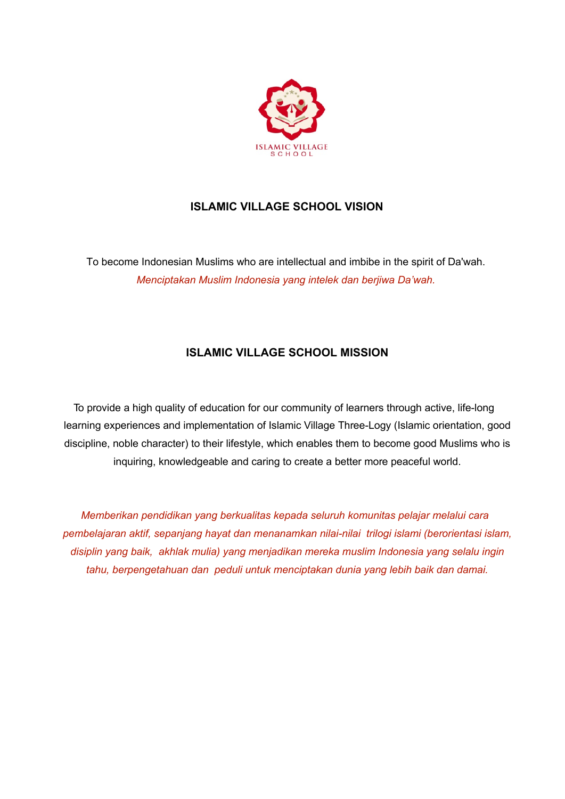

# **ISLAMIC VILLAGE SCHOOL VISION**

To become Indonesian Muslims who are intellectual and imbibe in the spirit of Da'wah. *Menciptakan Muslim Indonesia yang intelek dan berjiwa Da'wah.*

# **ISLAMIC VILLAGE SCHOOL MISSION**

To provide a high quality of education for our community of learners through active, life-long learning experiences and implementation of Islamic Village Three-Logy (Islamic orientation, good discipline, noble character) to their lifestyle, which enables them to become good Muslims who is inquiring, knowledgeable and caring to create a better more peaceful world.

*Memberikan pendidikan yang berkualitas kepada seluruh komunitas pelajar melalui cara pembelajaran aktif, sepanjang hayat dan menanamkan nilai-nilai trilogi islami (berorientasi islam, disiplin yang baik, akhlak mulia) yang menjadikan mereka muslim Indonesia yang selalu ingin tahu, berpengetahuan dan peduli untuk menciptakan dunia yang lebih baik dan damai.*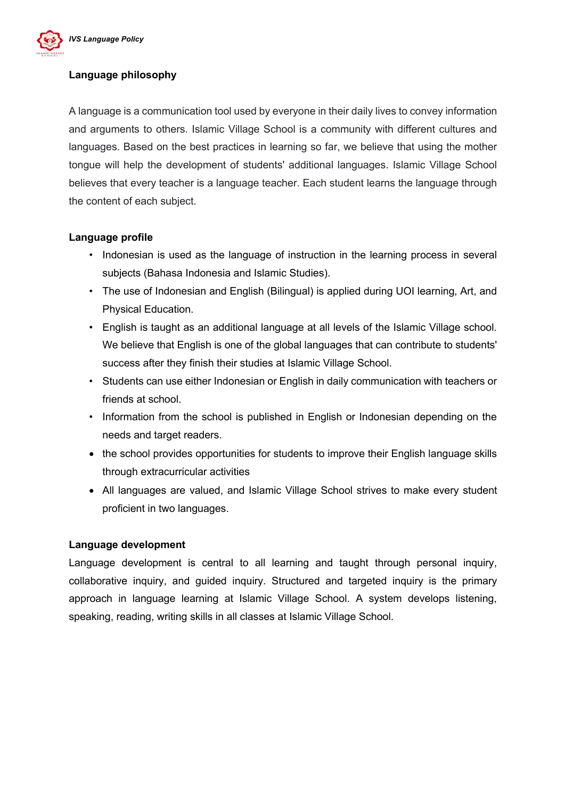

### **Language philosophy**

A language is a communication tool used by everyone in their daily lives to convey information and arguments to others. Islamic Village School is a community with different cultures and languages. Based on the best practices in learning so far, we believe that using the mother tongue will help the development of students' additional languages. Islamic Village School believes that every teacher is a language teacher. Each student learns the language through the content of each subject.

#### **Language profile**

- Indonesian is used as the language of instruction in the learning process in several subjects (Bahasa Indonesia and Islamic Studies).
- The use of Indonesian and English (Bilingual) is applied during UOI learning, Art, and Physical Education.
- English is taught as an additional language at all levels of the Islamic Village school. We believe that English is one of the global languages that can contribute to students' success after they finish their studies at Islamic Village School.
- Students can use either Indonesian or English in daily communication with teachers or friends at school.
- Information from the school is published in English or Indonesian depending on the needs and target readers.
- the school provides opportunities for students to improve their English language skills through extracurricular activities
- All languages are valued, and Islamic Village School strives to make every student proficient in two languages.

### **Language development**

Language development is central to all learning and taught through personal inquiry, collaborative inquiry, and guided inquiry. Structured and targeted inquiry is the primary approach in language learning at Islamic Village School. A system develops listening, speaking, reading, writing skills in all classes at Islamic Village School.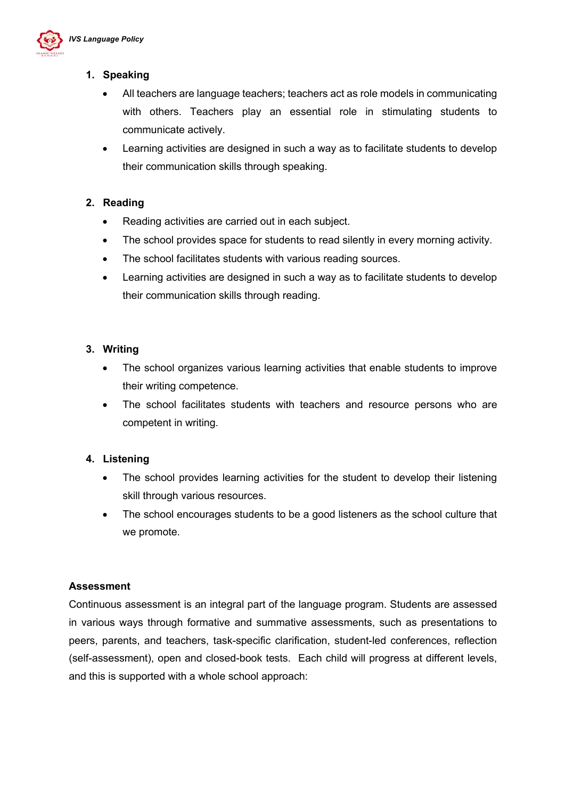

# **1. Speaking**

- All teachers are language teachers; teachers act as role models in communicating with others. Teachers play an essential role in stimulating students to communicate actively.
- Learning activities are designed in such a way as to facilitate students to develop their communication skills through speaking.

### **2. Reading**

- Reading activities are carried out in each subject.
- The school provides space for students to read silently in every morning activity.
- The school facilitates students with various reading sources.
- Learning activities are designed in such a way as to facilitate students to develop their communication skills through reading.

# **3. Writing**

- The school organizes various learning activities that enable students to improve their writing competence.
- The school facilitates students with teachers and resource persons who are competent in writing.

### **4. Listening**

- The school provides learning activities for the student to develop their listening skill through various resources.
- The school encourages students to be a good listeners as the school culture that we promote.

### **Assessment**

Continuous assessment is an integral part of the language program. Students are assessed in various ways through formative and summative assessments, such as presentations to peers, parents, and teachers, task-specific clarification, student-led conferences, reflection (self-assessment), open and closed-book tests. Each child will progress at different levels, and this is supported with a whole school approach: